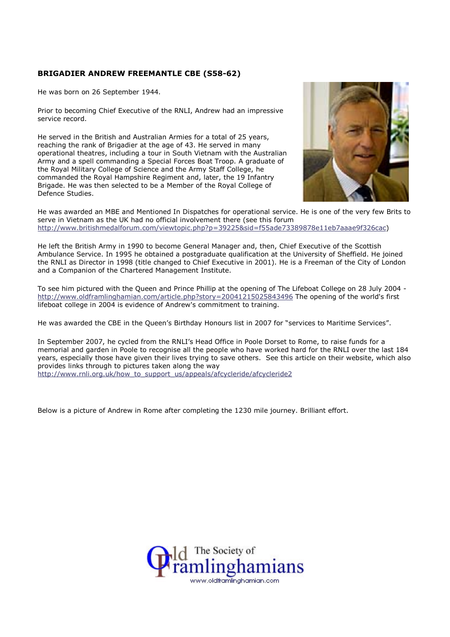### BRIGADIER ANDREW FREEMANTLE CBE (S58-62)

He was born on 26 September 1944.

Prior to becoming Chief Executive of the RNLI, Andrew had an impressive service record.

He served in the British and Australian Armies for a total of 25 years, reaching the rank of Brigadier at the age of 43. He served in many operational theatres, including a tour in South Vietnam with the Australian Army and a spell commanding a Special Forces Boat Troop. A graduate of the Royal Military College of Science and the Army Staff College, he commanded the Royal Hampshire Regiment and, later, the 19 Infantry Brigade. He was then selected to be a Member of the Royal College of Defence Studies.



He was awarded an MBE and Mentioned In Dispatches for operational service. He is one of the very few Brits to serve in Vietnam as the UK had no official involvement there (see this forum http://www.britishmedalforum.com/viewtopic.php?p=39225&sid=f55ade73389878e11eb7aaae9f326cac)

He left the British Army in 1990 to become General Manager and, then, Chief Executive of the Scottish Ambulance Service. In 1995 he obtained a postgraduate qualification at the University of Sheffield. He joined the RNLI as Director in 1998 (title changed to Chief Executive in 2001). He is a Freeman of the City of London and a Companion of the Chartered Management Institute.

To see him pictured with the Queen and Prince Phillip at the opening of The Lifeboat College on 28 July 2004 http://www.oldframlinghamian.com/article.php?story=20041215025843496 The opening of the world's first lifeboat college in 2004 is evidence of Andrew's commitment to training.

He was awarded the CBE in the Queen's Birthday Honours list in 2007 for "services to Maritime Services".

In September 2007, he cycled from the RNLI's Head Office in Poole Dorset to Rome, to raise funds for a memorial and garden in Poole to recognise all the people who have worked hard for the RNLI over the last 184 years, especially those have given their lives trying to save others. See this article on their website, which also provides links through to pictures taken along the way http://www.rnli.org.uk/how\_to\_support\_us/appeals/afcycleride/afcycleride2

Below is a picture of Andrew in Rome after completing the 1230 mile journey. Brilliant effort.

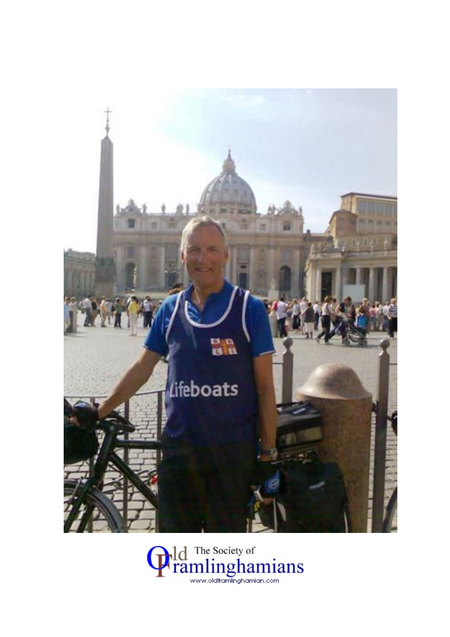

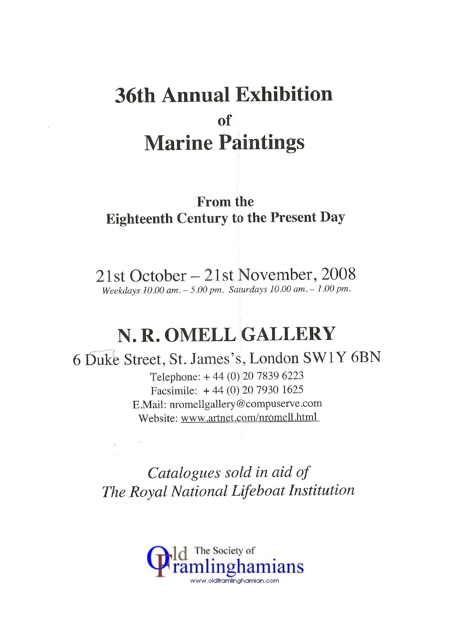# **36th Annual Exhibition** of **Marine Paintings**

## From the **Eighteenth Century to the Present Day**

 $21st October - 21st November, 2008$ Weekdays 10.00 am. - 5.00 pm. Saturdays 10.00 am. - 1.00 pm.

## N.R. OMELL GALLERY

6 Duke Street, St. James's, London SW1Y 6BN Telephone: +44 (0) 20 7839 6223

> Facsimile:  $+44(0)$  20 7930 1625 E.Mail: nromellgallery@compuserve.com Website: www.artnet.com/nromell.html

Catalogues sold in aid of The Royal National Lifeboat Institution